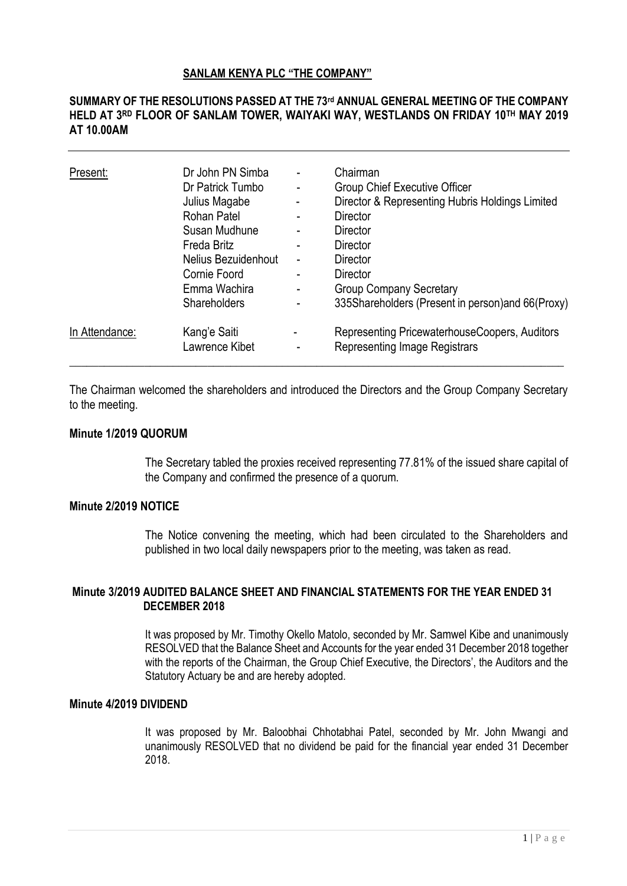#### **SANLAM KENYA PLC "THE COMPANY"**

## **SUMMARY OF THE RESOLUTIONS PASSED AT THE 73rd ANNUAL GENERAL MEETING OF THE COMPANY HELD AT 3 RD FLOOR OF SANLAM TOWER, WAIYAKI WAY, WESTLANDS ON FRIDAY 10TH MAY 2019 AT 10.00AM**

| Present:       | Dr John PN Simba<br>Dr Patrick Tumbo<br>Julius Magabe<br>Rohan Patel<br>Susan Mudhune<br>Freda Britz<br>Nelius Bezuidenhout<br>Cornie Foord<br>Emma Wachira<br>Shareholders | $\blacksquare$<br>-<br>۰<br>$\blacksquare$<br>-<br>- | Chairman<br>Group Chief Executive Officer<br>Director & Representing Hubris Holdings Limited<br><b>Director</b><br><b>Director</b><br><b>Director</b><br><b>Director</b><br><b>Director</b><br><b>Group Company Secretary</b><br>335Shareholders (Present in person) and 66(Proxy) |
|----------------|-----------------------------------------------------------------------------------------------------------------------------------------------------------------------------|------------------------------------------------------|------------------------------------------------------------------------------------------------------------------------------------------------------------------------------------------------------------------------------------------------------------------------------------|
| In Attendance: | Kang'e Saiti<br>Lawrence Kibet                                                                                                                                              |                                                      | Representing PricewaterhouseCoopers, Auditors<br><b>Representing Image Registrars</b>                                                                                                                                                                                              |

The Chairman welcomed the shareholders and introduced the Directors and the Group Company Secretary to the meeting.

## **Minute 1/2019 QUORUM**

The Secretary tabled the proxies received representing 77.81% of the issued share capital of the Company and confirmed the presence of a quorum.

## **Minute 2/2019 NOTICE**

The Notice convening the meeting, which had been circulated to the Shareholders and published in two local daily newspapers prior to the meeting, was taken as read.

### **Minute 3/2019 AUDITED BALANCE SHEET AND FINANCIAL STATEMENTS FOR THE YEAR ENDED 31 DECEMBER 2018**

It was proposed by Mr. Timothy Okello Matolo, seconded by Mr. Samwel Kibe and unanimously RESOLVED that the Balance Sheet and Accounts for the year ended 31 December 2018 together with the reports of the Chairman, the Group Chief Executive, the Directors', the Auditors and the Statutory Actuary be and are hereby adopted.

#### **Minute 4/2019 DIVIDEND**

It was proposed by Mr. Baloobhai Chhotabhai Patel, seconded by Mr. John Mwangi and unanimously RESOLVED that no dividend be paid for the financial year ended 31 December 2018.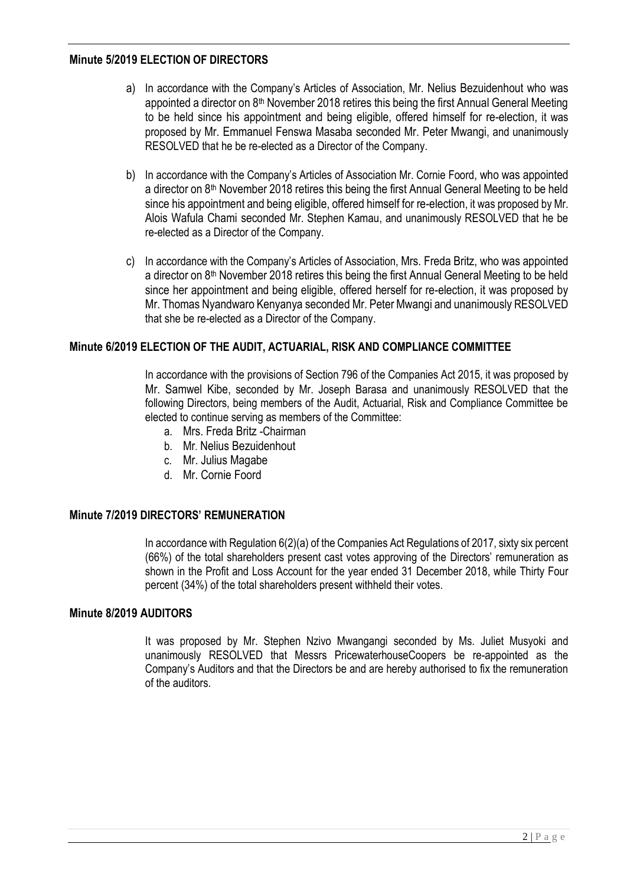### **Minute 5/2019 ELECTION OF DIRECTORS**

- a) In accordance with the Company's Articles of Association, Mr. Nelius Bezuidenhout who was appointed a director on  $8<sup>th</sup>$  November 2018 retires this being the first Annual General Meeting to be held since his appointment and being eligible, offered himself for re-election, it was proposed by Mr. Emmanuel Fenswa Masaba seconded Mr. Peter Mwangi, and unanimously RESOLVED that he be re-elected as a Director of the Company.
- b) In accordance with the Company's Articles of Association Mr. Cornie Foord, who was appointed a director on 8th November 2018 retires this being the first Annual General Meeting to be held since his appointment and being eligible, offered himself for re-election, it was proposed by Mr. Alois Wafula Chami seconded Mr. Stephen Kamau, and unanimously RESOLVED that he be re-elected as a Director of the Company.
- c) In accordance with the Company's Articles of Association, Mrs. Freda Britz, who was appointed a director on 8<sup>th</sup> November 2018 retires this being the first Annual General Meeting to be held since her appointment and being eligible, offered herself for re-election, it was proposed by Mr. Thomas Nyandwaro Kenyanya seconded Mr. Peter Mwangi and unanimously RESOLVED that she be re-elected as a Director of the Company.

# **Minute 6/2019 ELECTION OF THE AUDIT, ACTUARIAL, RISK AND COMPLIANCE COMMITTEE**

In accordance with the provisions of Section 796 of the Companies Act 2015, it was proposed by Mr. Samwel Kibe, seconded by Mr. Joseph Barasa and unanimously RESOLVED that the following Directors, being members of the Audit, Actuarial, Risk and Compliance Committee be elected to continue serving as members of the Committee:

- a. Mrs. Freda Britz -Chairman
- b. Mr. Nelius Bezuidenhout
- c. Mr. Julius Magabe
- d. Mr. Cornie Foord

### **Minute 7/2019 DIRECTORS' REMUNERATION**

In accordance with Regulation 6(2)(a) of the Companies Act Regulations of 2017, sixty six percent (66%) of the total shareholders present cast votes approving of the Directors' remuneration as shown in the Profit and Loss Account for the year ended 31 December 2018, while Thirty Four percent (34%) of the total shareholders present withheld their votes.

### **Minute 8/2019 AUDITORS**

It was proposed by Mr. Stephen Nzivo Mwangangi seconded by Ms. Juliet Musyoki and unanimously RESOLVED that Messrs PricewaterhouseCoopers be re-appointed as the Company's Auditors and that the Directors be and are hereby authorised to fix the remuneration of the auditors.